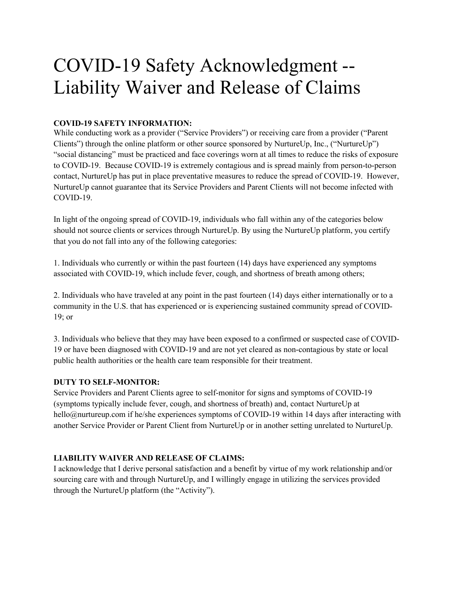# COVID-19 Safety Acknowledgment -- Liability Waiver and Release of Claims

## **COVID-19 SAFETY INFORMATION:**

While conducting work as a provider ("Service Providers") or receiving care from a provider ("Parent Clients") through the online platform or other source sponsored by NurtureUp, Inc., ("NurtureUp") "social distancing" must be practiced and face coverings worn at all times to reduce the risks of exposure to COVID-19. Because COVID-19 is extremely contagious and is spread mainly from person-to-person contact, NurtureUp has put in place preventative measures to reduce the spread of COVID-19. However, NurtureUp cannot guarantee that its Service Providers and Parent Clients will not become infected with COVID-19.

In light of the ongoing spread of COVID-19, individuals who fall within any of the categories below should not source clients or services through NurtureUp. By using the NurtureUp platform, you certify that you do not fall into any of the following categories:

1. Individuals who currently or within the past fourteen (14) days have experienced any symptoms associated with COVID-19, which include fever, cough, and shortness of breath among others;

2. Individuals who have traveled at any point in the past fourteen (14) days either internationally or to a community in the U.S. that has experienced or is experiencing sustained community spread of COVID-19; or

3. Individuals who believe that they may have been exposed to a confirmed or suspected case of COVID-19 or have been diagnosed with COVID-19 and are not yet cleared as non-contagious by state or local public health authorities or the health care team responsible for their treatment.

### **DUTY TO SELF-MONITOR:**

Service Providers and Parent Clients agree to self-monitor for signs and symptoms of COVID-19 (symptoms typically include fever, cough, and shortness of breath) and, contact NurtureUp at hello@nurtureup.com if he/she experiences symptoms of COVID-19 within 14 days after interacting with another Service Provider or Parent Client from NurtureUp or in another setting unrelated to NurtureUp.

## **LIABILITY WAIVER AND RELEASE OF CLAIMS:**

I acknowledge that I derive personal satisfaction and a benefit by virtue of my work relationship and/or sourcing care with and through NurtureUp, and I willingly engage in utilizing the services provided through the NurtureUp platform (the "Activity").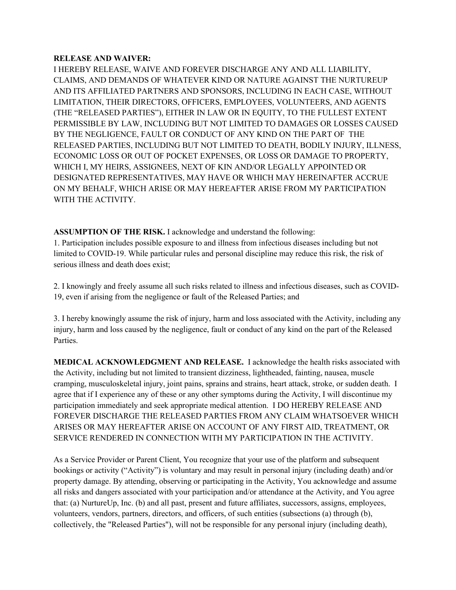#### **RELEASE AND WAIVER:**

I HEREBY RELEASE, WAIVE AND FOREVER DISCHARGE ANY AND ALL LIABILITY, CLAIMS, AND DEMANDS OF WHATEVER KIND OR NATURE AGAINST THE NURTUREUP AND ITS AFFILIATED PARTNERS AND SPONSORS, INCLUDING IN EACH CASE, WITHOUT LIMITATION, THEIR DIRECTORS, OFFICERS, EMPLOYEES, VOLUNTEERS, AND AGENTS (THE "RELEASED PARTIES"), EITHER IN LAW OR IN EQUITY, TO THE FULLEST EXTENT PERMISSIBLE BY LAW, INCLUDING BUT NOT LIMITED TO DAMAGES OR LOSSES CAUSED BY THE NEGLIGENCE, FAULT OR CONDUCT OF ANY KIND ON THE PART OF THE RELEASED PARTIES, INCLUDING BUT NOT LIMITED TO DEATH, BODILY INJURY, ILLNESS, ECONOMIC LOSS OR OUT OF POCKET EXPENSES, OR LOSS OR DAMAGE TO PROPERTY, WHICH I, MY HEIRS, ASSIGNEES, NEXT OF KIN AND/OR LEGALLY APPOINTED OR DESIGNATED REPRESENTATIVES, MAY HAVE OR WHICH MAY HEREINAFTER ACCRUE ON MY BEHALF, WHICH ARISE OR MAY HEREAFTER ARISE FROM MY PARTICIPATION WITH THE ACTIVITY.

**ASSUMPTION OF THE RISK.** I acknowledge and understand the following: 1. Participation includes possible exposure to and illness from infectious diseases including but not limited to COVID-19. While particular rules and personal discipline may reduce this risk, the risk of serious illness and death does exist;

2. I knowingly and freely assume all such risks related to illness and infectious diseases, such as COVID-19, even if arising from the negligence or fault of the Released Parties; and

3. I hereby knowingly assume the risk of injury, harm and loss associated with the Activity, including any injury, harm and loss caused by the negligence, fault or conduct of any kind on the part of the Released Parties.

**MEDICAL ACKNOWLEDGMENT AND RELEASE.** I acknowledge the health risks associated with the Activity, including but not limited to transient dizziness, lightheaded, fainting, nausea, muscle cramping, musculoskeletal injury, joint pains, sprains and strains, heart attack, stroke, or sudden death. I agree that if I experience any of these or any other symptoms during the Activity, I will discontinue my participation immediately and seek appropriate medical attention. I DO HEREBY RELEASE AND FOREVER DISCHARGE THE RELEASED PARTIES FROM ANY CLAIM WHATSOEVER WHICH ARISES OR MAY HEREAFTER ARISE ON ACCOUNT OF ANY FIRST AID, TREATMENT, OR SERVICE RENDERED IN CONNECTION WITH MY PARTICIPATION IN THE ACTIVITY.

As a Service Provider or Parent Client, You recognize that your use of the platform and subsequent bookings or activity ("Activity") is voluntary and may result in personal injury (including death) and/or property damage. By attending, observing or participating in the Activity, You acknowledge and assume all risks and dangers associated with your participation and/or attendance at the Activity, and You agree that: (a) NurtureUp, Inc. (b) and all past, present and future affiliates, successors, assigns, employees, volunteers, vendors, partners, directors, and officers, of such entities (subsections (a) through (b), collectively, the "Released Parties"), will not be responsible for any personal injury (including death),